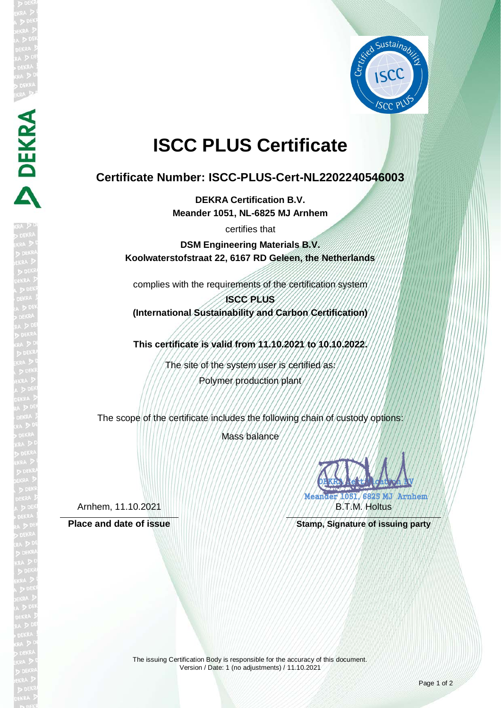

# **ISCC PLUS Certificate**

## **Certificate Number: ISCC-PLUS-Cert-NL2202240546003**

**DEKRA Certification B.V. Meander 1051, NL-6825 MJ Arnhem**

certifies that

**DSM Engineering Materials B.V. Koolwaterstofstraat 22, 6167 RD Geleen, the Netherlands**

complies with the requirements of the certification system

**ISCC PLUS (International Sustainability and Carbon Certification)**

**This certificate is valid from 11.10.2021 to 10.10.2022.**

The site of the system user is certified as: Polymer production plant

The scope of the certificate includes the following chain of custody options:

Mass balance

Arnhem, 11.10.2021

**DEKRA** 

DEKRA REAL GERMANY MANDA AMA B.T.M. Holtus

Place and date of issue **Stamp, Stamp, Signature of issuing party** 

The issuing Certification Body is responsible for the accuracy of this document. Version / Date: 1 (no adjustments) / 11.10.2021